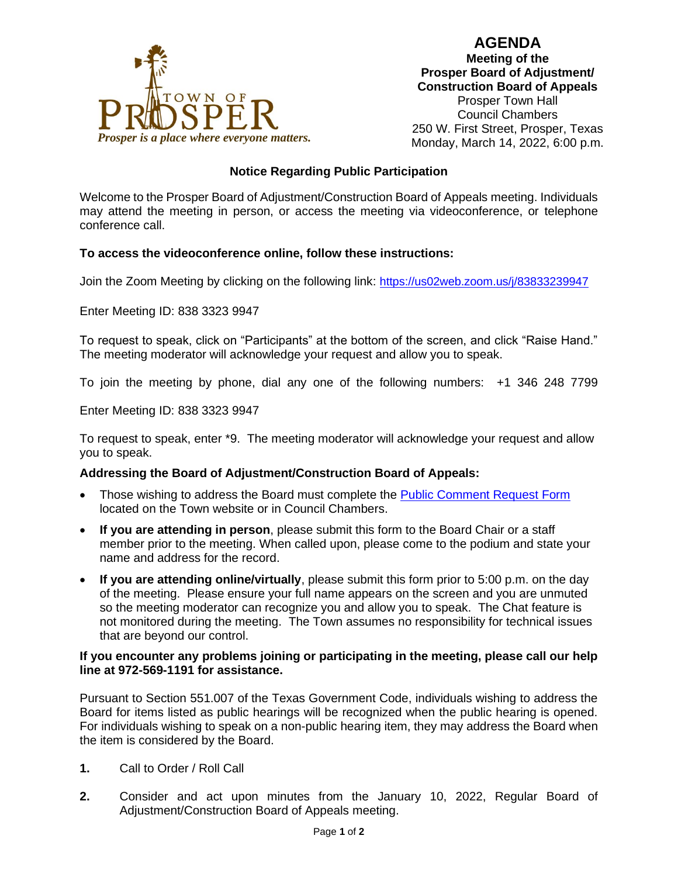**AGENDA**



**Meeting of the Prosper Board of Adjustment/ Construction Board of Appeals** Prosper Town Hall Council Chambers 250 W. First Street, Prosper, Texas

# **Notice Regarding Public Participation**

Welcome to the Prosper Board of Adjustment/Construction Board of Appeals meeting. Individuals may attend the meeting in person, or access the meeting via videoconference, or telephone conference call.

## **To access the videoconference online, follow these instructions:**

Join the Zoom Meeting by clicking on the following link: <https://us02web.zoom.us/j/83833239947>

Enter Meeting ID: 838 3323 9947

To request to speak, click on "Participants" at the bottom of the screen, and click "Raise Hand." The meeting moderator will acknowledge your request and allow you to speak.

To join the meeting by phone, dial any one of the following numbers: +1 346 248 7799

Enter Meeting ID: 838 3323 9947

To request to speak, enter \*9. The meeting moderator will acknowledge your request and allow you to speak.

#### **Addressing the Board of Adjustment/Construction Board of Appeals:**

- Those wishing to address the Board must complete the [Public Comment Request Form](https://lf.prospertx.gov/Forms/PCRF) located on the Town website or in Council Chambers.
- **If you are attending in person**, please submit this form to the Board Chair or a staff member prior to the meeting. When called upon, please come to the podium and state your name and address for the record.
- **If you are attending online/virtually**, please submit this form prior to 5:00 p.m. on the day of the meeting. Please ensure your full name appears on the screen and you are unmuted so the meeting moderator can recognize you and allow you to speak. The Chat feature is not monitored during the meeting. The Town assumes no responsibility for technical issues that are beyond our control.

#### **If you encounter any problems joining or participating in the meeting, please call our help line at 972-569-1191 for assistance.**

Pursuant to Section 551.007 of the Texas Government Code, individuals wishing to address the Board for items listed as public hearings will be recognized when the public hearing is opened. For individuals wishing to speak on a non-public hearing item, they may address the Board when the item is considered by the Board.

- **1.** Call to Order / Roll Call
- **2.** Consider and act upon minutes from the January 10, 2022, Regular Board of Adjustment/Construction Board of Appeals meeting.